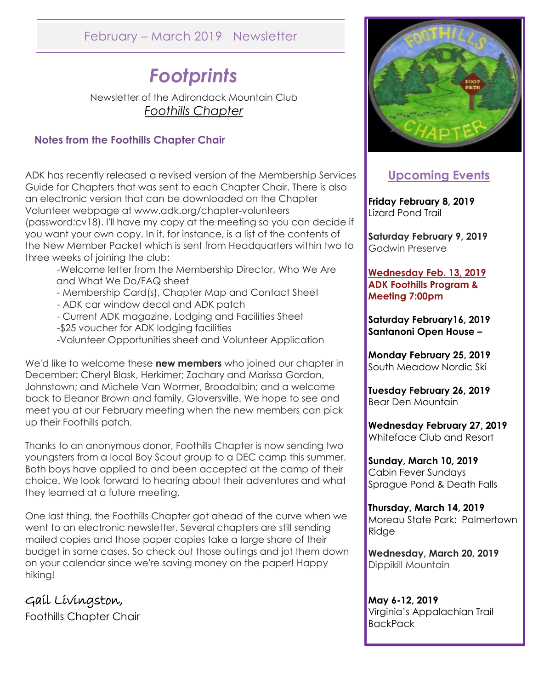# February – March 2019 Newsletter

# *Footprints*

Newsletter of the Adirondack Mountain Club *Foothills Chapter* 

#### **Notes from the Foothills Chapter Chair**

ADK has recently released a revised version of the Membership Services Guide for Chapters that was sent to each Chapter Chair. There is also an electronic version that can be downloaded on the Chapter Volunteer webpage at www.adk.org/chapter-volunteers (password:cv18). I'll have my copy at the meeting so you can decide if you want your own copy. In it, for instance, is a list of the contents of the New Member Packet which is sent from Headquarters within two to three weeks of joining the club:

-Welcome letter from the Membership Director, Who We Are and What We Do/FAQ sheet

- Membership Card(s), Chapter Map and Contact Sheet
- ADK car window decal and ADK patch
- Current ADK magazine, Lodging and Facilities Sheet
- -\$25 voucher for ADK lodging facilities
- -Volunteer Opportunities sheet and Volunteer Application

We'd like to welcome these **new members** who joined our chapter in December: Cheryl Blask, Herkimer; Zachary and Marissa Gordon, Johnstown; and Michele Van Wormer, Broadalbin; and a welcome back to Eleanor Brown and family, Gloversville. We hope to see and meet you at our February meeting when the new members can pick up their Foothills patch.

Thanks to an anonymous donor, Foothills Chapter is now sending two youngsters from a local Boy Scout group to a DEC camp this summer. Both boys have applied to and been accepted at the camp of their choice. We look forward to hearing about their adventures and what they learned at a future meeting.

One last thing, the Foothills Chapter got ahead of the curve when we went to an electronic newsletter. Several chapters are still sending mailed copies and those paper copies take a large share of their budget in some cases. So check out those outings and jot them down on your calendar since we're saving money on the paper! Happy hiking!

Gail Livingston, Foothills Chapter Chair



## **Upcoming Events**

**Friday February 8, 2019** Lizard Pond Trail

**Saturday February 9, 2019** Godwin Preserve

**Wednesday Feb. 13, 2019 ADK Foothills Program & Meeting 7:00pm**

**Saturday February16, 2019 Santanoni Open House –**

**Monday February 25, 2019** South Meadow Nordic Ski

**Tuesday February 26, 2019** Bear Den Mountain

**Wednesday February 27, 2019** Whiteface Club and Resort

**Sunday, March 10, 2019** Cabin Fever Sundays Sprague Pond & Death Falls

**Thursday, March 14, 2019** Moreau State Park: Palmertown Ridge

**Wednesday, March 20, 2019** Dippikill Mountain

**May 6-12, 2019** Virginia's Appalachian Trail **BackPack**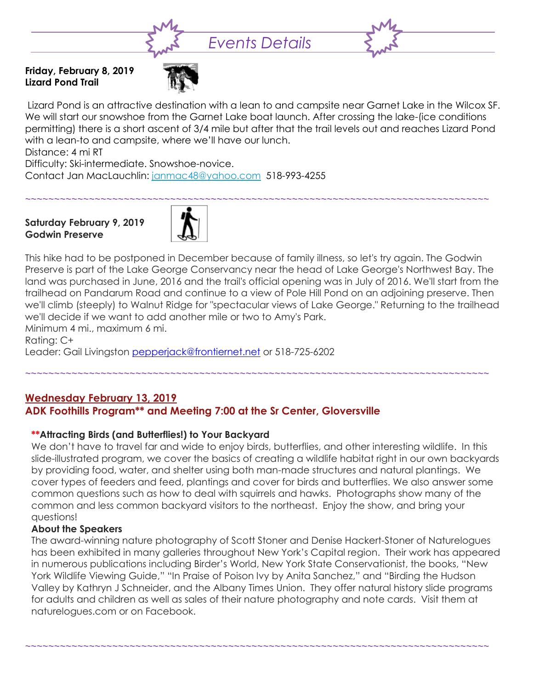

**Friday, February 8, 2019 Lizard Pond Trail**



Lizard Pond is an attractive destination with a lean to and campsite near Garnet Lake in the Wilcox SF. We will start our snowshoe from the Garnet Lake boat launch. After crossing the lake-(ice conditions permitting) there is a short ascent of 3/4 mile but after that the trail levels out and reaches Lizard Pond with a lean-to and campsite, where we'll have our lunch.

Distance: 4 mi RT

Difficulty: Ski-intermediate. Snowshoe-novice.

Contact Jan MacLauchlin: [janmac48@yahoo.com](mailto:janmac48@yahoo.com) 518-993-4255

#### **Saturday February 9, 2019 Godwin Preserve**



This hike had to be postponed in December because of family illness, so let's try again. The Godwin Preserve is part of the Lake George Conservancy near the head of Lake George's Northwest Bay. The land was purchased in June, 2016 and the trail's official opening was in July of 2016. We'll start from the trailhead on Pandarum Road and continue to a view of Pole Hill Pond on an adjoining preserve. Then we'll climb (steeply) to Walnut Ridge for "spectacular views of Lake George." Returning to the trailhead we'll decide if we want to add another mile or two to Amy's Park.

Minimum 4 mi., maximum 6 mi. Rating: C+ Leader: Gail Livingston [pepperjack@frontiernet.net](mailto:pepperjack@frontiernet.net) or 518-725-6202

~~~~~~~~~~~~~~~~~~~~~~~~~~~~~~~~~~~~~~~~~~~~~~~~~~~~~~~~~~~~~~~~~~~~~~~~~~~~~~~~

### **Wednesday February 13, 2019**

### **ADK Foothills Program\*\* and Meeting 7:00 at the Sr Center, Gloversville**

#### **\*\*Attracting Birds (and Butterflies!) to Your Backyard**

We don't have to travel far and wide to enjoy birds, butterflies, and other interesting wildlife. In this slide-illustrated program, we cover the basics of creating a wildlife habitat right in our own backyards by providing food, water, and shelter using both man-made structures and natural plantings. We cover types of feeders and feed, plantings and cover for birds and butterflies. We also answer some common questions such as how to deal with squirrels and hawks. Photographs show many of the common and less common backyard visitors to the northeast. Enjoy the show, and bring your questions!

#### **About the Speakers**

The award-winning nature photography of Scott Stoner and Denise Hackert-Stoner of Naturelogues has been exhibited in many galleries throughout New York's Capital region. Their work has appeared in numerous publications including Birder's World, New York State Conservationist, the books, "New York Wildlife Viewing Guide," "In Praise of Poison Ivy by Anita Sanchez," and "Birding the Hudson Valley by Kathryn J Schneider, and the Albany Times Union. They offer natural history slide programs for adults and children as well as sales of their nature photography and note cards. Visit them at naturelogues.com or on Facebook.

~~~~~~~~~~~~~~~~~~~~~~~~~~~~~~~~~~~~~~~~~~~~~~~~~~~~~~~~~~~~~~~~~~~~~~~~~~~~~~~~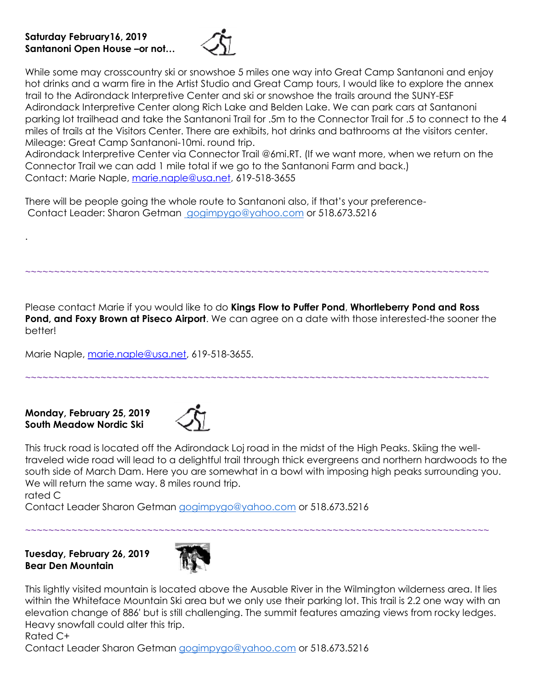#### **Saturday February16, 2019 Santanoni Open House –or not…**



While some may crosscountry ski or snowshoe 5 miles one way into Great Camp Santanoni and enjoy hot drinks and a warm fire in the Artist Studio and Great Camp tours, I would like to explore the annex trail to the Adirondack Interpretive Center and ski or snowshoe the trails around the SUNY-ESF Adirondack Interpretive Center along Rich Lake and Belden Lake. We can park cars at Santanoni parking lot trailhead and take the Santanoni Trail for .5m to the Connector Trail for .5 to connect to the 4 miles of trails at the Visitors Center. There are exhibits, hot drinks and bathrooms at the visitors center. Mileage: Great Camp Santanoni-10mi. round trip.

Adirondack Interpretive Center via Connector Trail @6mi.RT. (If we want more, when we return on the Connector Trail we can add 1 mile total if we go to the Santanoni Farm and back.) Contact: Marie Naple, [marie.naple@usa.net,](mailto:marie.naple@usa.net) 619-518-3655

There will be people going the whole route to Santanoni also, if that's your preference-Contact Leader: Sharon Getman [gogimpygo@yahoo.com](mailto:gogimpygo@yahoo.com) or 518.673.5216

Please contact Marie if you would like to do **Kings Flow to Puffer Pond**, **Whortleberry Pond and Ross Pond, and Foxy Brown at Piseco Airport**. We can agree on a date with those interested-the sooner the better!

~~~~~~~~~~~~~~~~~~~~~~~~~~~~~~~~~~~~~~~~~~~~~~~~~~~~~~~~~~~~~~~~~~~~~~~~~~~~~~~~

~~~~~~~~~~~~~~~~~~~~~~~~~~~~~~~~~~~~~~~~~~~~~~~~~~~~~~~~~~~~~~~~~~~~~~~~~~~~~~~~

Marie Naple, [marie.naple@usa.net,](mailto:marie.naple@usa.net) 619-518-3655.

#### **Monday, February 25, 2019 South Meadow Nordic Ski**



This truck road is located off the Adirondack Loj road in the midst of the High Peaks. Skiing the welltraveled wide road will lead to a delightful trail through thick evergreens and northern hardwoods to the south side of March Dam. Here you are somewhat in a bowl with imposing high peaks surrounding you. We will return the same way. 8 miles round trip.

~~~~~~~~~~~~~~~~~~~~~~~~~~~~~~~~~~~~~~~~~~~~~~~~~~~~~~~~~~~~~~~~~~~~~~~~~~~~~~~~

rated C

.

Contact Leader Sharon Getman [gogimpygo@yahoo.com](mailto:gogimpygo@yahoo.com) or 518.673.5216

**Tuesday, February 26, 2019 Bear Den Mountain**



This lightly visited mountain is located above the Ausable River in the Wilmington wilderness area. It lies within the Whiteface Mountain Ski area but we only use their parking lot. This trail is 2.2 one way with an elevation change of 886' but is still challenging. The summit features amazing views from rocky ledges. Heavy snowfall could alter this trip.

Rated C+

Contact Leader Sharon Getman [gogimpygo@yahoo.com](mailto:gogimpygo@yahoo.com) or 518.673.5216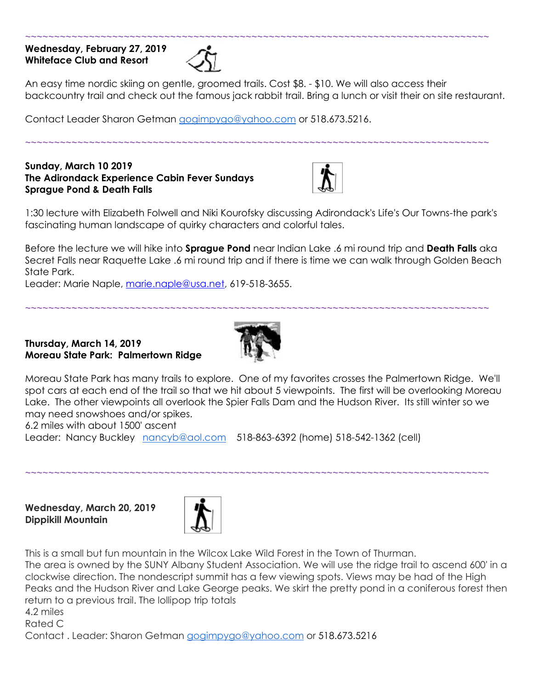#### **Wednesday, February 27, 2019 Whiteface Club and Resort**



An easy time nordic skiing on gentle, groomed trails. Cost \$8. - \$10. We will also access their backcountry trail and check out the famous jack rabbit trail. Bring a lunch or visit their on site restaurant.

~~~~~~~~~~~~~~~~~~~~~~~~~~~~~~~~~~~~~~~~~~~~~~~~~~~~~~~~~~~~~~~~~~~~~~~~~~~~~~~~

Contact Leader Sharon Getman [gogimpygo@yahoo.com](mailto:gogimpygo@yahoo.com) or 518.673.5216.

**Sunday, March 10 2019 The Adirondack Experience Cabin Fever Sundays Sprague Pond & Death Falls**



1:30 lecture with Elizabeth Folwell and Niki Kourofsky discussing Adirondack's Life's Our Towns-the park's fascinating human landscape of quirky characters and colorful tales.

Before the lecture we will hike into **Sprague Pond** near Indian Lake .6 mi round trip and **Death Falls** aka Secret Falls near Raquette Lake .6 mi round trip and if there is time we can walk through Golden Beach State Park.

Leader: Marie Naple, [marie.naple@usa.net,](mailto:marie.naple@usa.net) 619-518-3655.

#### **Thursday, March 14, 2019 Moreau State Park: Palmertown Ridge**



~~~~~~~~~~~~~~~~~~~~~~~~~~~~~~~~~~~~~~~~~~~~~~~~~~~~~~~~~~~~~~~~~~~~~~~~~~~~~~~~

Moreau State Park has many trails to explore. One of my favorites crosses the Palmertown Ridge. We'll spot cars at each end of the trail so that we hit about 5 viewpoints. The first will be overlooking Moreau Lake. The other viewpoints all overlook the Spier Falls Dam and the Hudson River. Its still winter so we may need snowshoes and/or spikes.

~~~~~~~~~~~~~~~~~~~~~~~~~~~~~~~~~~~~~~~~~~~~~~~~~~~~~~~~~~~~~~~~~~~~~~~~~~~~~~~~

6.2 miles with about 1500' ascent

Leader: Nancy Buckley [nancyb@aol.com](mailto:nancyb@aol.com) 518-863-6392 (home) 518-542-1362 (cell)

**Wednesday, March 20, 2019 Dippikill Mountain**



This is a small but fun mountain in the Wilcox Lake Wild Forest in the Town of Thurman.

The area is owned by the SUNY Albany Student Association. We will use the ridge trail to ascend 600' in a clockwise direction. The nondescript summit has a few viewing spots. Views may be had of the High Peaks and the Hudson River and Lake George peaks. We skirt the pretty pond in a coniferous forest then return to a previous trail. The lollipop trip totals

4.2 miles

Rated C

Contact . Leader: Sharon Getman [gogimpygo@yahoo.com](mailto:gogimpygo@yahoo.com) or 518.673.5216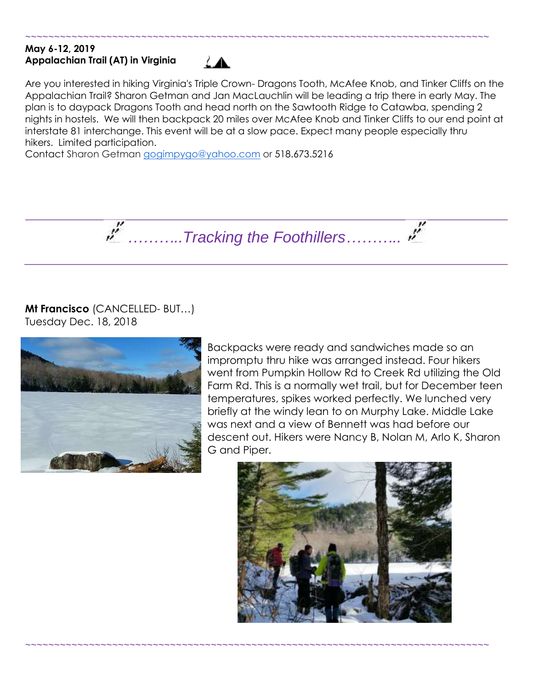#### **May 6-12, 2019 Appalachian Trail (AT) in Virginia**



Are you interested in hiking Virginia's Triple Crown- Dragons Tooth, McAfee Knob, and Tinker Cliffs on the Appalachian Trail? Sharon Getman and Jan MacLauchlin will be leading a trip there in early May. The plan is to daypack Dragons Tooth and head north on the Sawtooth Ridge to Catawba, spending 2 nights in hostels. We will then backpack 20 miles over McAfee Knob and Tinker Cliffs to our end point at interstate 81 interchange. This event will be at a slow pace. Expect many people especially thru hikers. Limited participation.

~~~~~~~~~~~~~~~~~~~~~~~~~~~~~~~~~~~~~~~~~~~~~~~~~~~~~~~~~~~~~~~~~~~~~~~~~~~~~~~~

Contact Sharon Getman [gogimpygo@yahoo.com](mailto:gogimpygo@yahoo.com) or 518.673.5216



~~~~~~~~~~~~~~~~~~~~~~~~~~~~~~~~~~~~~~~~~~~~~~~~~~~~~~~~~~~~~~~~~~~~~~~~~~~~~~~~

**Mt Francisco** (CANCELLED- BUT…) Tuesday Dec. 18, 2018



Backpacks were ready and sandwiches made so an impromptu thru hike was arranged instead. Four hikers went from Pumpkin Hollow Rd to Creek Rd utilizing the Old Farm Rd. This is a normally wet trail, but for December teen temperatures, spikes worked perfectly. We lunched very briefly at the windy lean to on Murphy Lake. Middle Lake was next and a view of Bennett was had before our descent out. Hikers were Nancy B, Nolan M, Arlo K, Sharon G and Piper.

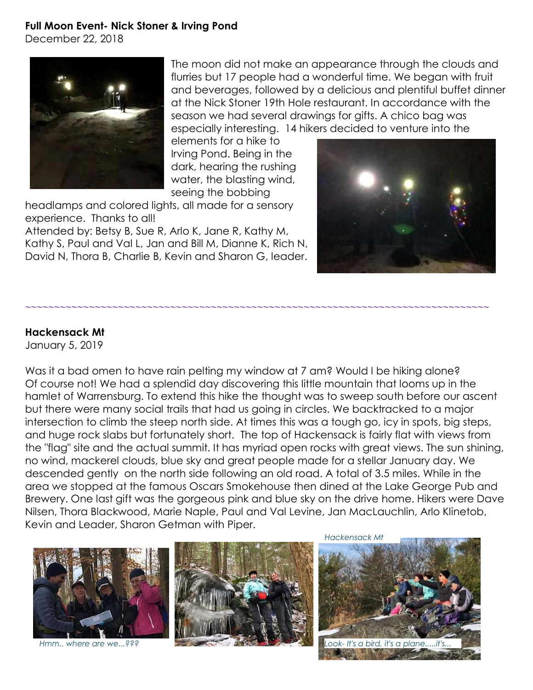#### **Full Moon Event- Nick Stoner & Irving Pond**

December 22, 2018



The moon did not make an appearance through the clouds and flurries but 17 people had a wonderful time. We began with fruit and beverages, followed by a delicious and plentiful buffet dinner at the Nick Stoner 19th Hole restaurant. In accordance with the season we had several drawings for gifts. A chico bag was especially interesting. 14 hikers decided to venture into the

elements for a hike to Irving Pond. Being in the dark, hearing the rushing water, the blasting wind, seeing the bobbing

headlamps and colored lights, all made for a sensory experience. Thanks to all!

Attended by: Betsy B, Sue R, Arlo K, Jane R, Kathy M, Kathy S, Paul and Val L, Jan and Bill M, Dianne K, Rich N, David N, Thora B, Charlie B, Kevin and Sharon G, leader.



#### **Hackensack Mt**

January 5, 2019

Was it a bad omen to have rain pelting my window at 7 am? Would I be hiking alone? Of course not! We had a splendid day discovering this little mountain that looms up in the hamlet of Warrensburg. To extend this hike the thought was to sweep south before our ascent but there were many social trails that had us going in circles. We backtracked to a major intersection to climb the steep north side. At times this was a tough go, icy in spots, big steps, and huge rock slabs but fortunately short. The top of Hackensack is fairly flat with views from the "flag" site and the actual summit. It has myriad open rocks with great views. The sun shining, no wind, mackerel clouds, blue sky and great people made for a stellar January day. We descended gently on the north side following an old road. A total of 3.5 miles. While in the area we stopped at the famous Oscars Smokehouse then dined at the Lake George Pub and Brewery. One last gift was the gorgeous pink and blue sky on the drive home. Hikers were Dave Nilsen, Thora Blackwood, Marie Naple, Paul and Val Levine, Jan MacLauchlin, Arlo Klinetob, Kevin and Leader, Sharon Getman with Piper.

~~~~~~~~~~~~~~~~~~~~~~~~~~~~~~~~~~~~~~~~~~~~~~~~~~~~~~~~~~~~~~~~~~~~~~~~~~~~~~~~



*Hmm.. where are we...???*



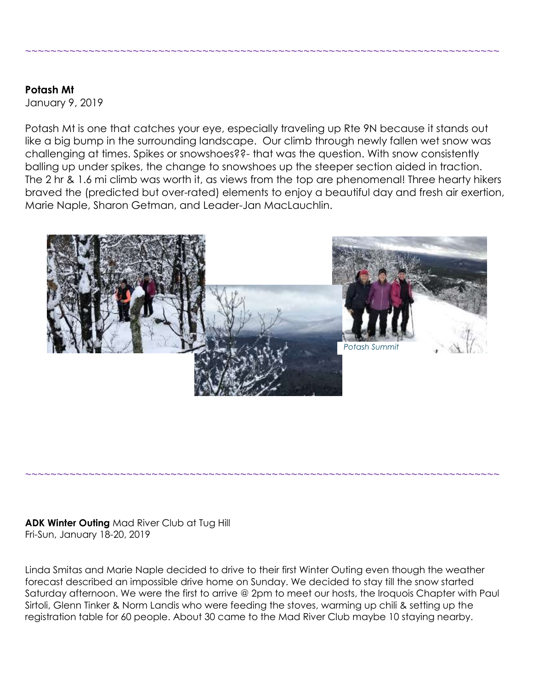### **Potash Mt**

January 9, 2019

Potash Mt is one that catches your eye, especially traveling up Rte 9N because it stands out like a big bump in the surrounding landscape. Our climb through newly fallen wet snow was challenging at times. Spikes or snowshoes??- that was the question. With snow consistently balling up under spikes, the change to snowshoes up the steeper section aided in traction. The 2 hr & 1.6 mi climb was worth it, as views from the top are phenomenal! Three hearty hikers braved the (predicted but over-rated) elements to enjoy a beautiful day and fresh air exertion, Marie Naple, Sharon Getman, and Leader-Jan MacLauchlin.

~~~~~~~~~~~~~~~~~~~~~~~~~~~~~~~~~~~~~~~~~~~~~~~~~~~~~~~~~~~~~~~~~~~~~~~~~~~



**ADK Winter Outing** Mad River Club at Tug Hill Fri-Sun, January 18-20, 2019

Linda Smitas and Marie Naple decided to drive to their first Winter Outing even though the weather forecast described an impossible drive home on Sunday. We decided to stay till the snow started Saturday afternoon. We were the first to arrive @ 2pm to meet our hosts, the Iroquois Chapter with Paul Sirtoli, Glenn Tinker & Norm Landis who were feeding the stoves, warming up chili & setting up the registration table for 60 people. About 30 came to the Mad River Club maybe 10 staying nearby.

~~~~~~~~~~~~~~~~~~~~~~~~~~~~~~~~~~~~~~~~~~~~~~~~~~~~~~~~~~~~~~~~~~~~~~~~~~~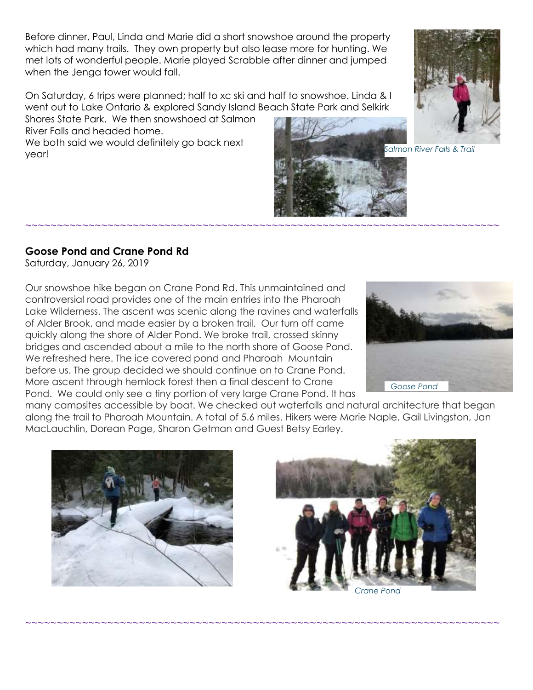Before dinner, Paul, Linda and Marie did a short snowshoe around the property which had many trails. They own property but also lease more for hunting. We met lots of wonderful people. Marie played Scrabble after dinner and jumped when the Jenga tower would fall.

On Saturday, 6 trips were planned; half to xc ski and half to snowshoe. Linda & I went out to Lake Ontario & explored Sandy Island Beach State Park and Selkirk

Shores State Park. We then snowshoed at Salmon River Falls and headed home.

We both said we would definitely go back next year!



*Salmon River Falls & Trail*

#### **Goose Pond and Crane Pond Rd**

Saturday, January 26, 2019

Our snowshoe hike began on Crane Pond Rd. This unmaintained and controversial road provides one of the main entries into the Pharoah Lake Wilderness. The ascent was scenic along the ravines and waterfalls of Alder Brook, and made easier by a broken trail. Our turn off came quickly along the shore of Alder Pond. We broke trail, crossed skinny bridges and ascended about a mile to the north shore of Goose Pond. We refreshed here. The ice covered pond and Pharoah Mountain before us. The group decided we should continue on to Crane Pond. More ascent through hemlock forest then a final descent to Crane Pond. We could only see a tiny portion of very large Crane Pond. It has



many campsites accessible by boat. We checked out waterfalls and natural architecture that began along the trail to Pharoah Mountain. A total of 5.6 miles. Hikers were Marie Naple, Gail Livingston, Jan MacLauchlin, Dorean Page, Sharon Getman and Guest Betsy Earley.

~~~~~~~~~~~~~~~~~~~~~~~~~~~~~~~~~~~~~~~~~~~~~~~~~~~~~~~~~~~~~~~~~~~~~~~~~~~

~~~~~~~~~~~~~~~~~~~~~~~~~~~~~~~~~~~~~~~~~~~~~~~~~~~~~~~~~~~~~~~~~~~~~~~~~~~





*Crane Pond*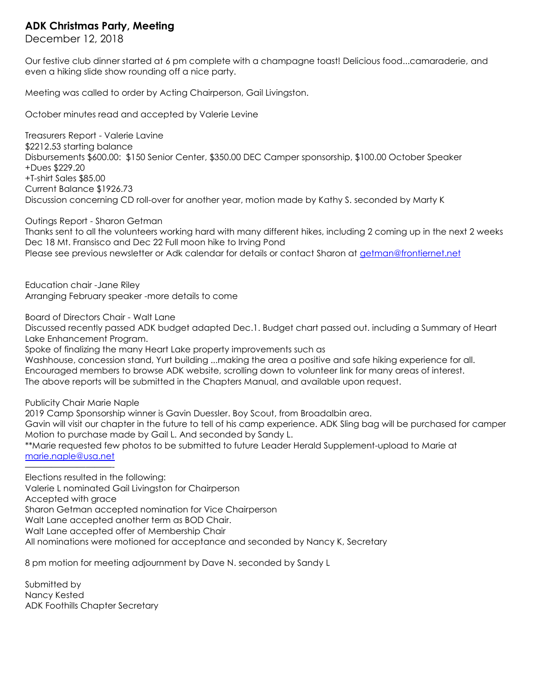#### **ADK Christmas Party, Meeting**

December 12, 2018

Our festive club dinner started at 6 pm complete with a champagne toast! Delicious food...camaraderie, and even a hiking slide show rounding off a nice party.

Meeting was called to order by Acting Chairperson, Gail Livingston.

October minutes read and accepted by Valerie Levine

Treasurers Report - Valerie Lavine \$2212.53 starting balance Disbursements \$600.00: \$150 Senior Center, \$350.00 DEC Camper sponsorship, \$100.00 October Speaker +Dues \$229.20 +T-shirt Sales \$85.00 Current Balance \$1926.73 Discussion concerning CD roll-over for another year, motion made by Kathy S. seconded by Marty K

#### Outings Report - Sharon Getman

Thanks sent to all the volunteers working hard with many different hikes, including 2 coming up in the next 2 weeks Dec 18 Mt. Fransisco and Dec 22 Full moon hike to Irving Pond Please see previous newsletter or Adk calendar for details or contact Sharon at [getman@frontiernet.net](mailto:getman@frontiernet.net)

Education chair -Jane Riley Arranging February speaker -more details to come

Board of Directors Chair - Walt Lane

Discussed recently passed ADK budget adapted Dec.1. Budget chart passed out. including a Summary of Heart Lake Enhancement Program.

Spoke of finalizing the many Heart Lake property improvements such as

Washhouse, concession stand, Yurt building ...making the area a positive and safe hiking experience for all. Encouraged members to browse ADK website, scrolling down to volunteer link for many areas of interest. The above reports will be submitted in the Chapters Manual, and available upon request.

Publicity Chair Marie Naple

2019 Camp Sponsorship winner is Gavin Duessler. Boy Scout, from Broadalbin area.

Gavin will visit our chapter in the future to tell of his camp experience. ADK Sling bag will be purchased for camper Motion to purchase made by Gail L. And seconded by Sandy L.

\*\*Marie requested few photos to be submitted to future Leader Herald Supplement-upload to Marie at [marie.naple@usa.net](mailto:marie.naple@usa.net)

Elections resulted in the following:

Valerie L nominated Gail Livingston for Chairperson

Accepted with grace

——————————-

Sharon Getman accepted nomination for Vice Chairperson

Walt Lane accepted another term as BOD Chair.

Walt Lane accepted offer of Membership Chair

All nominations were motioned for acceptance and seconded by Nancy K, Secretary

8 pm motion for meeting adjournment by Dave N. seconded by Sandy L

Submitted by Nancy Kested ADK Foothills Chapter Secretary